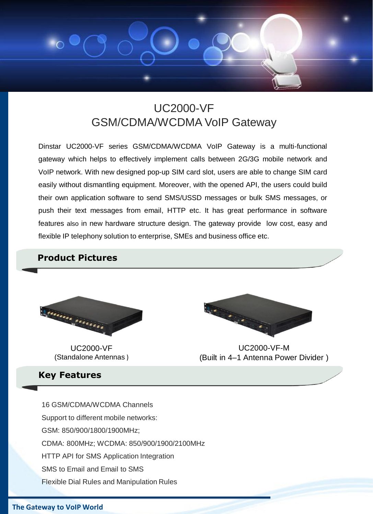

### UC2000-VF GSM/CDMA/WCDMA VoIP Gateway

Dinstar UC2000-VF series GSM/CDMA/WCDMA VoIP Gateway is a multi-functional gateway which helps to effectively implement calls between 2G/3G mobile network and VoIP network. With new designed pop-up SIM card slot, users are able to change SIM card easily without dismantling equipment. Moreover, with the opened API, the users could build their own application software to send SMS/USSD messages or bulk SMS messages, or push their text messages from email, HTTP etc. It has great performance in software features also in new hardware structure design. The gateway provide low cost, easy and flexible IP telephony solution to enterprise, SMEs and business office etc.

#### **Product Pictures**



UC2000-VF (Standalone Antennas )

# 

UC2000-VF-M (Built in 4–1 Antenna Power Divider )

**Key Features**

16 GSM/CDMA/WCDMA Channels Support to different mobile networks: GSM: 850/900/1800/1900MHz; CDMA: 800MHz; WCDMA: 850/900/1900/2100MHz HTTP API for SMS Application Integration SMS to Email and Email to SMS Flexible Dial Rules and Manipulation Rules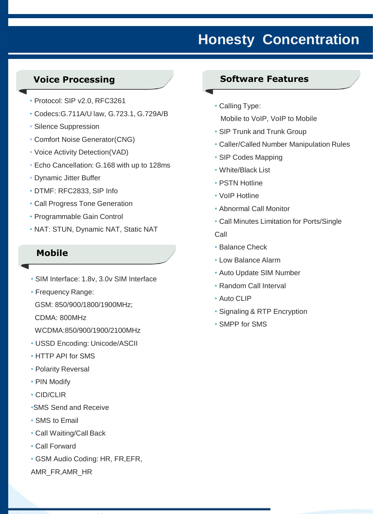## **Honesty Concentration**

#### **Voice Processing**

- Protocol: SIP v2.0, RFC3261
- Codecs:G.711A/U law, G.723.1, G.729A/B
- Silence Suppression
- Comfort Noise Generator(CNG)
- Voice Activity Detection(VAD)
- Echo Cancellation: G.168 with up to 128ms
- Dynamic Jitter Buffer
- DTMF: RFC2833, SIP Info
- Call Progress Tone Generation
- Programmable Gain Control
- NAT: STUN, Dynamic NAT, Static NAT

#### **Mobile**

- SIM Interface: 1.8v, 3.0v SIM Interface
- Frequency Range:

GSM: 850/900/1800/1900MHz;

CDMA: 800MHz

WCDMA:850/900/1900/2100MHz

- USSD Encoding: Unicode/ASCII
- HTTP API for SMS
- Polarity Reversal
- PIN Modify
- CID/CLIR
- •SMS Send and Receive
- SMS to Email
- Call Waiting/Call Back
- Call Forward
- GSM Audio Coding: HR, FR,EFR,

AMR\_FR,AMR\_HR

#### **Software Features**

• Calling Type:

Mobile to VoIP, VoIP to Mobile

- SIP Trunk and Trunk Group
- Caller/Called Number Manipulation Rules
- SIP Codes Mapping
- White/Black List
- PSTN Hotline
- VoIP Hotline
- Abnormal Call Monitor
- Call Minutes Limitation for Ports/Single

Call

- Balance Check
- Low Balance Alarm
- Auto Update SIM Number
- Random Call Interval
- Auto CLIP
- Signaling & RTP Encryption
- SMPP for SMS